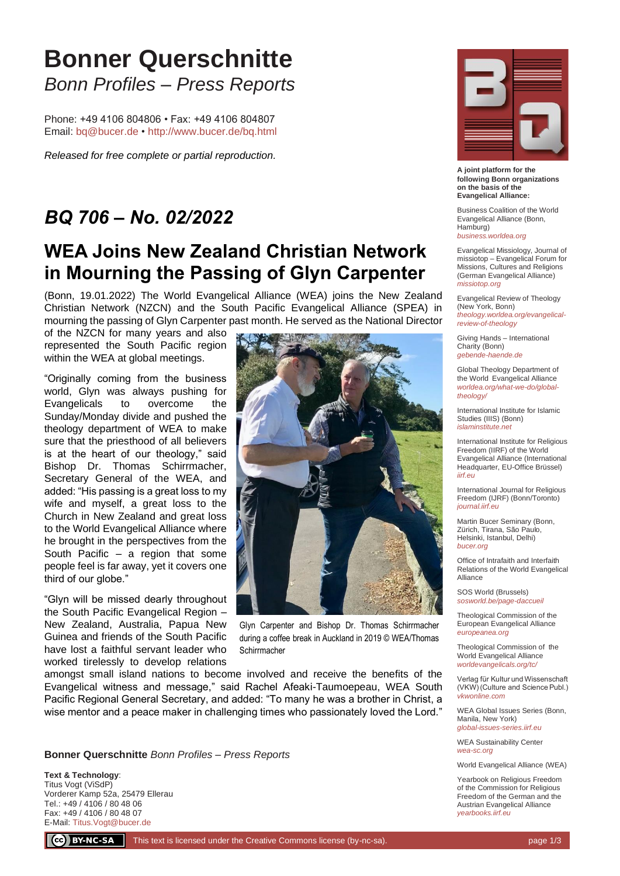## **Bonner Querschnitte** *Bonn Profiles – Press Reports*

Phone: +49 4106 804806 • Fax: +49 4106 804807 Email: [bq@bucer.de](mailto:bq@bucer.de?subject=Frage%20zu%20Bonner%20Querschnitte) •<http://www.bucer.de/bq.html>

*Released for free complete or partial reproduction.*

## *BQ 706 – No. 02/2022*

## **WEA Joins New Zealand Christian Network in Mourning the Passing of Glyn Carpenter**

(Bonn, 19.01.2022) The World Evangelical Alliance (WEA) joins the New Zealand Christian Network (NZCN) and the South Pacific Evangelical Alliance (SPEA) in mourning the passing of Glyn Carpenter past month. He served as the National Director

of the NZCN for many years and also represented the South Pacific region within the WEA at global meetings.

"Originally coming from the business world, Glyn was always pushing for Evangelicals to overcome the Sunday/Monday divide and pushed the theology department of WEA to make sure that the priesthood of all believers is at the heart of our theology," said Bishop Dr. Thomas Schirrmacher, Secretary General of the WEA, and added: "His passing is a great loss to my wife and myself, a great loss to the Church in New Zealand and great loss to the World Evangelical Alliance where he brought in the perspectives from the South Pacific – a region that some people feel is far away, yet it covers one third of our globe."

"Glyn will be missed dearly throughout the South Pacific Evangelical Region – New Zealand, Australia, Papua New Guinea and friends of the South Pacific have lost a faithful servant leader who worked tirelessly to develop relations



Glyn Carpenter and Bishop Dr. Thomas Schirrmacher during a coffee break in Auckland in 2019 © WEA/Thomas **Schirrmacher** 

amongst small island nations to become involved and receive the benefits of the Evangelical witness and message," said Rachel Afeaki-Taumoepeau, WEA South Pacific Regional General Secretary, and added: "To many he was a brother in Christ, a wise mentor and a peace maker in challenging times who passionately loved the Lord."

**Bonner Querschnitte** *Bonn Profiles – Press Reports*

**Text & Technology**: Titus Vogt (ViSdP) Vorderer Kamp 52a, 25479 Ellerau Tel.: +49 / 4106 / 80 48 06 Fax: +49 / 4106 / 80 48 07 E-Mail[: Titus.Vogt@bucer.de](mailto:Titus.Vogt@bucer.de)



**A joint platform for the following Bonn organizations on the basis of the Evangelical Alliance:**

Business Coalition of the World Evangelical Alliance (Bonn, Hamburg) *[business.worldea.org](https://business.worldea.org/)*

Evangelical Missiology, Journal of missiotop – Evangelical Forum for Missions, Cultures and Religions (German Evangelical Alliance) *[missiotop.org](http://www.missiotop.org/)*

Evangelical Review of Theology (New York, Bonn) *[theology.worldea.org/evangelical](https://theology.worldea.org/evangelical-review-of-theology/)[review-of-theology](https://theology.worldea.org/evangelical-review-of-theology/)*

Giving Hands – International Charity (Bonn) *[gebende-haende.de](http://www.gebende-haende.de/)*

Global Theology Department of the World Evangelical Alliance *[worldea.org/what-we-do/global](https://worldea.org/what-we-do/global-theology/)[theology/](https://worldea.org/what-we-do/global-theology/)*

International Institute for Islamic Studies (IIIS) (Bonn) *[islaminstitute.net](http://www.islaminstitute.net/)*

International Institute for Religious Freedom (IIRF) of the World Evangelical Alliance (International Headquarter, EU-Office Brüssel) *[iirf.eu](http://www.iirf.eu/)*

International Journal for Religious Freedom (IJRF) (Bonn/Toronto) *[journal.iirf.eu](http://journal.iirf.eu/)*

Martin Bucer Seminary (Bonn, Zürich, Tirana, São Paulo, Helsinki, Istanbul, Delhi) *[bucer.org](http://www.bucer.org/)*

Office of Intrafaith and Interfaith Relations of the World Evangelical Alliance

SOS World (Brussels) *[sosworld.be/page-daccueil](http://www.sosworld.be/page-daccueil/)*

Theological Commission of the European Evangelical Alliance *[europeanea.org](http://www.europeanea.org/)*

Theological Commission of the World Evangelical Alliance *[worldevangelicals.org/tc/](http://www.worldevangelicals.org/tc/)*

Verlag für Kultur und Wissenschaft (VKW) (Culture and Science Publ.) *[vkwonline.com](http://www.vkwonline.com/)*

WEA Global Issues Series (Bonn, Manila, New York) *[global-issues-series.iirf.eu](https://iirf.eu/journal-books/global-issues-series/)*

WEA Sustainability Center *[wea-sc.org](http://www.wea-sc.org/)*

World Evangelical Alliance (WEA)

Yearbook on Religious Freedom of the Commission for Religious Freedom of the German and the Austrian Evangelical Alliance *[yearbooks.iirf.eu](http://yearbooks.iirf.eu/)*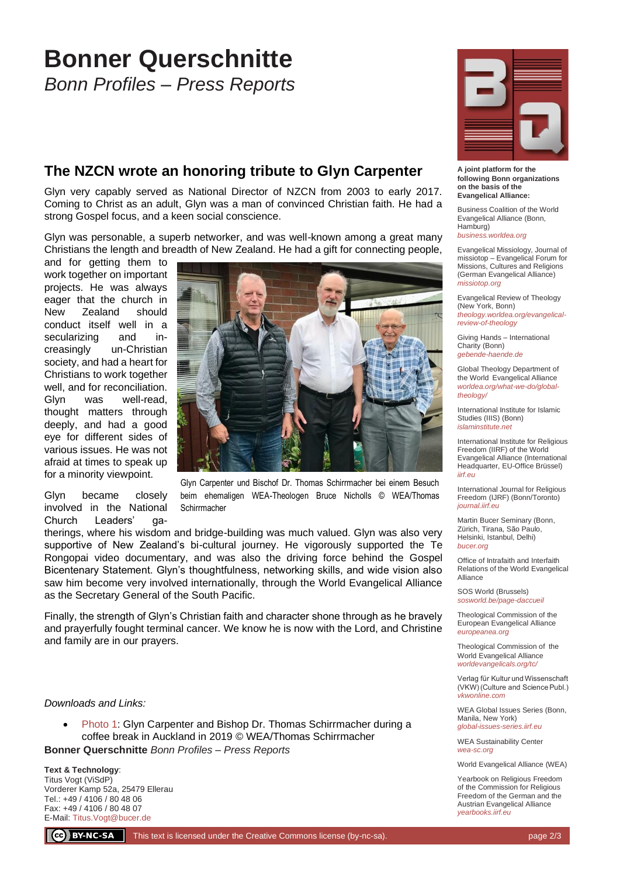## **Bonner Querschnitte**

*Bonn Profiles – Press Reports*

## **The NZCN wrote an honoring tribute to Glyn Carpenter**

Glyn very capably served as National Director of NZCN from 2003 to early 2017. Coming to Christ as an adult, Glyn was a man of convinced Christian faith. He had a strong Gospel focus, and a keen social conscience.

Glyn was personable, a superb networker, and was well-known among a great many Christians the length and breadth of New Zealand. He had a gift for connecting people,

and for getting them to work together on important projects. He was always eager that the church in New Zealand should conduct itself well in a secularizing and increasingly un-Christian society, and had a heart for Christians to work together well, and for reconciliation. Glyn was well-read, thought matters through deeply, and had a good eye for different sides of various issues. He was not afraid at times to speak up for a minority viewpoint.

Glyn became closely involved in the National Church Leaders' ga-



Glyn Carpenter und Bischof Dr. Thomas Schirrmacher bei einem Besuch beim ehemaligen WEA-Theologen Bruce Nicholls © WEA/Thomas **Schirrmacher** 

therings, where his wisdom and bridge-building was much valued. Glyn was also very supportive of New Zealand's bi-cultural journey. He vigorously supported the Te Rongopai video documentary, and was also the driving force behind the Gospel Bicentenary Statement. Glyn's thoughtfulness, networking skills, and wide vision also saw him become very involved internationally, through the World Evangelical Alliance as the Secretary General of the South Pacific.

Finally, the strength of Glyn's Christian faith and character shone through as he bravely and prayerfully fought terminal cancer. We know he is now with the Lord, and Christine and family are in our prayers.

#### *Downloads and Links:*

• [Photo 1:](https://bucer.org/fileadmin/dateien/Dokumente/BQs/BQ700ff/BQ706/BQ0706_1.jpg) Glyn Carpenter and Bishop Dr. Thomas Schirrmacher during a coffee break in Auckland in 2019 © WEA/Thomas Schirrmacher

**Bonner Querschnitte** *Bonn Profiles – Press Reports*

**Text & Technology**: Titus Vogt (ViSdP) Vorderer Kamp 52a, 25479 Ellerau Tel.: +49 / 4106 / 80 48 06 Fax: +49 / 4106 / 80 48 07 E-Mail[: Titus.Vogt@bucer.de](mailto:Titus.Vogt@bucer.de)



**A joint platform for the following Bonn organizations on the basis of the Evangelical Alliance:**

Business Coalition of the World Evangelical Alliance (Bonn, Hamburg) *[business.worldea.org](https://business.worldea.org/)*

Evangelical Missiology, Journal of missiotop – Evangelical Forum for Missions, Cultures and Religions (German Evangelical Alliance)

Evangelical Review of Theology (New York, Bonn) *[theology.worldea.org/evangelical](https://theology.worldea.org/evangelical-review-of-theology/)[review-of-theology](https://theology.worldea.org/evangelical-review-of-theology/)*

*[missiotop.org](http://www.missiotop.org/)*

Giving Hands – International Charity (Bonn) *[gebende-haende.de](http://www.gebende-haende.de/)*

Global Theology Department of the World Evangelical Alliance *[worldea.org/what-we-do/global](https://worldea.org/what-we-do/global-theology/)[theology/](https://worldea.org/what-we-do/global-theology/)*

International Institute for Islamic Studies (IIIS) (Bonn) *[islaminstitute.net](http://www.islaminstitute.net/)*

International Institute for Religious Freedom (IIRF) of the World Evangelical Alliance (International Headquarter, EU-Office Brüssel) *[iirf.eu](http://www.iirf.eu/)*

International Journal for Religious Freedom (IJRF) (Bonn/Toronto) *[journal.iirf.eu](http://journal.iirf.eu/)*

Martin Bucer Seminary (Bonn, Zürich, Tirana, São Paulo, Helsinki, Istanbul, Delhi) *[bucer.org](http://www.bucer.org/)*

Office of Intrafaith and Interfaith Relations of the World Evangelical Alliance

SOS World (Brussels) *[sosworld.be/page-daccueil](http://www.sosworld.be/page-daccueil/)*

Theological Commission of the European Evangelical Alliance *[europeanea.org](http://www.europeanea.org/)*

Theological Commission of the World Evangelical Alliance *[worldevangelicals.org/tc/](http://www.worldevangelicals.org/tc/)*

Verlag für Kultur und Wissenschaft (VKW) (Culture and Science Publ.) *[vkwonline.com](http://www.vkwonline.com/)*

WEA Global Issues Series (Bonn, Manila, New York) *[global-issues-series.iirf.eu](https://iirf.eu/journal-books/global-issues-series/)*

WEA Sustainability Center *[wea-sc.org](http://www.wea-sc.org/)*

World Evangelical Alliance (WEA)

Yearbook on Religious Freedom of the Commission for Religious Freedom of the German and the Austrian Evangelical Alliance *[yearbooks.iirf.eu](http://yearbooks.iirf.eu/)*